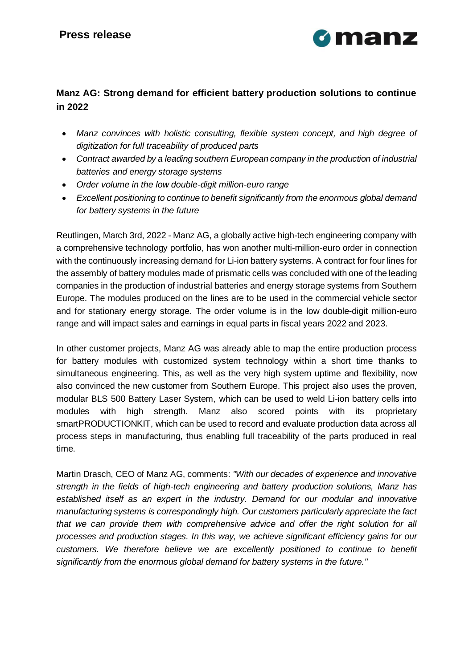

## **Manz AG: Strong demand for efficient battery production solutions to continue in 2022**

- *Manz convinces with holistic consulting, flexible system concept, and high degree of digitization for full traceability of produced parts*
- *Contract awarded by a leading southern European company in the production of industrial batteries and energy storage systems*
- *Order volume in the low double-digit million-euro range*
- *Excellent positioning to continue to benefit significantly from the enormous global demand for battery systems in the future*

Reutlingen, March 3rd, 2022 - Manz AG, a globally active high-tech engineering company with a comprehensive technology portfolio, has won another multi-million-euro order in connection with the continuously increasing demand for Li-ion battery systems. A contract for four lines for the assembly of battery modules made of prismatic cells was concluded with one of the leading companies in the production of industrial batteries and energy storage systems from Southern Europe. The modules produced on the lines are to be used in the commercial vehicle sector and for stationary energy storage. The order volume is in the low double-digit million-euro range and will impact sales and earnings in equal parts in fiscal years 2022 and 2023.

In other customer projects, Manz AG was already able to map the entire production process for battery modules with customized system technology within a short time thanks to simultaneous engineering. This, as well as the very high system uptime and flexibility, now also convinced the new customer from Southern Europe. This project also uses the proven, modular BLS 500 Battery Laser System, which can be used to weld Li-ion battery cells into modules with high strength. Manz also scored points with its proprietary smartPRODUCTIONKIT, which can be used to record and evaluate production data across all process steps in manufacturing, thus enabling full traceability of the parts produced in real time.

Martin Drasch, CEO of Manz AG, comments: *"With our decades of experience and innovative strength in the fields of high-tech engineering and battery production solutions, Manz has established itself as an expert in the industry. Demand for our modular and innovative manufacturing systems is correspondingly high. Our customers particularly appreciate the fact that we can provide them with comprehensive advice and offer the right solution for all processes and production stages. In this way, we achieve significant efficiency gains for our customers. We therefore believe we are excellently positioned to continue to benefit significantly from the enormous global demand for battery systems in the future."*